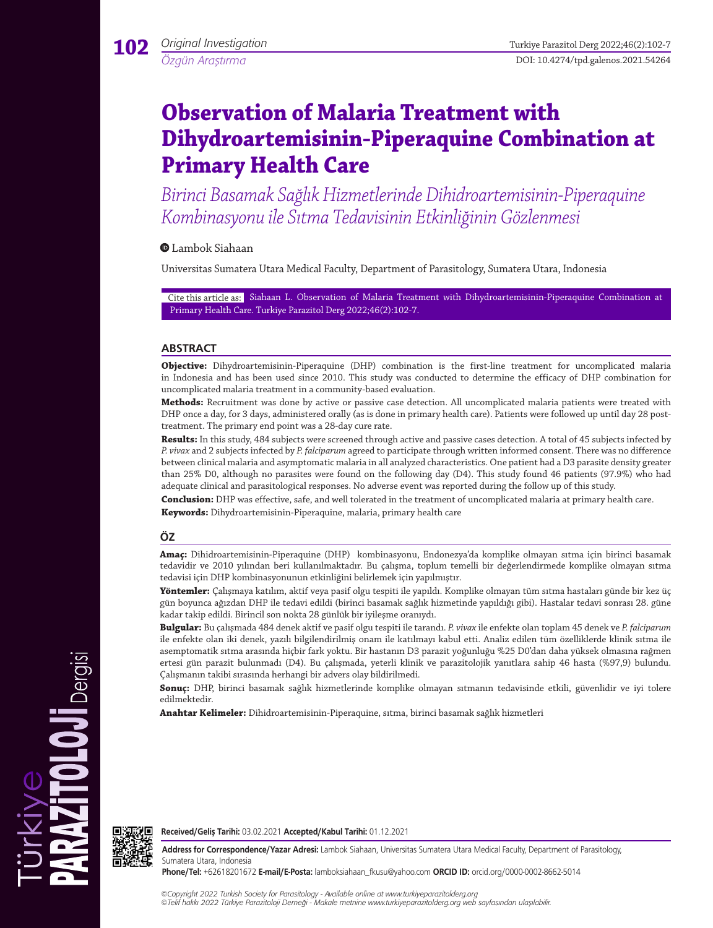# **Observation of Malaria Treatment with Dihydroartemisinin-Piperaquine Combination at Primary Health Care**

*Birinci Basamak Sağlık Hizmetlerinde Dihidroartemisinin-Piperaquine Kombinasyonu ile Sıtma Tedavisinin Etkinliğinin Gözlenmesi*

## Lambok Siahaan

Universitas Sumatera Utara Medical Faculty, Department of Parasitology, Sumatera Utara, Indonesia

Cite this article as: Siahaan L. Observation of Malaria Treatment with Dihydroartemisinin-Piperaquine Combination at Primary Health Care. Turkiye Parazitol Derg 2022;46(2):102-7.

## **ABSTRACT**

**Objective:** Dihydroartemisinin-Piperaquine (DHP) combination is the first-line treatment for uncomplicated malaria in Indonesia and has been used since 2010. This study was conducted to determine the efficacy of DHP combination for uncomplicated malaria treatment in a community-based evaluation.

**Methods:** Recruitment was done by active or passive case detection. All uncomplicated malaria patients were treated with DHP once a day, for 3 days, administered orally (as is done in primary health care). Patients were followed up until day 28 posttreatment. The primary end point was a 28-day cure rate.

**Results:** In this study, 484 subjects were screened through active and passive cases detection. A total of 45 subjects infected by *P. vivax* and 2 subjects infected by *P. falciparum* agreed to participate through written informed consent. There was no difference between clinical malaria and asymptomatic malaria in all analyzed characteristics. One patient had a D3 parasite density greater than 25% D0, although no parasites were found on the following day (D4). This study found 46 patients (97.9%) who had adequate clinical and parasitological responses. No adverse event was reported during the follow up of this study.

**Conclusion:** DHP was effective, safe, and well tolerated in the treatment of uncomplicated malaria at primary health care. **Keywords:** Dihydroartemisinin-Piperaquine, malaria, primary health care

## **ÖZ**

**Amaç:** Dihidroartemisinin-Piperaquine (DHP) kombinasyonu, Endonezya'da komplike olmayan sıtma için birinci basamak tedavidir ve 2010 yılından beri kullanılmaktadır. Bu çalışma, toplum temelli bir değerlendirmede komplike olmayan sıtma tedavisi için DHP kombinasyonunun etkinliğini belirlemek için yapılmıştır.

**Yöntemler:** Çalışmaya katılım, aktif veya pasif olgu tespiti ile yapıldı. Komplike olmayan tüm sıtma hastaları günde bir kez üç gün boyunca ağızdan DHP ile tedavi edildi (birinci basamak sağlık hizmetinde yapıldığı gibi). Hastalar tedavi sonrası 28. güne kadar takip edildi. Birincil son nokta 28 günlük bir iyileşme oranıydı.

**Bulgular:** Bu çalışmada 484 denek aktif ve pasif olgu tespiti ile tarandı. *P. vivax* ile enfekte olan toplam 45 denek ve *P. falciparum* ile enfekte olan iki denek, yazılı bilgilendirilmiş onam ile katılmayı kabul etti. Analiz edilen tüm özelliklerde klinik sıtma ile asemptomatik sıtma arasında hiçbir fark yoktu. Bir hastanın D3 parazit yoğunluğu %25 D0'dan daha yüksek olmasına rağmen ertesi gün parazit bulunmadı (D4). Bu çalışmada, yeterli klinik ve parazitolojik yanıtlara sahip 46 hasta (%97,9) bulundu. Çalışmanın takibi sırasında herhangi bir advers olay bildirilmedi.

**Sonuç:** DHP, birinci basamak sağlık hizmetlerinde komplike olmayan sıtmanın tedavisinde etkili, güvenlidir ve iyi tolere edilmektedir.

**Anahtar Kelimeler:** Dihidroartemisinin-Piperaquine, sıtma, birinci basamak sağlık hizmetleri



Dergisi

**Received/Geliş Tarihi:** 03.02.2021 **Accepted/Kabul Tarihi:** 01.12.2021

**Address for Correspondence/Yazar Adresi:** Lambok Siahaan, Universitas Sumatera Utara Medical Faculty, Department of Parasitology, Sumatera Utara, Indonesia

**Phone/Tel:** +62618201672 **E-mail/E-Posta:** lamboksiahaan\_fkusu@yahoo.com **ORCID ID:** orcid.org/0000-0002-8662-5014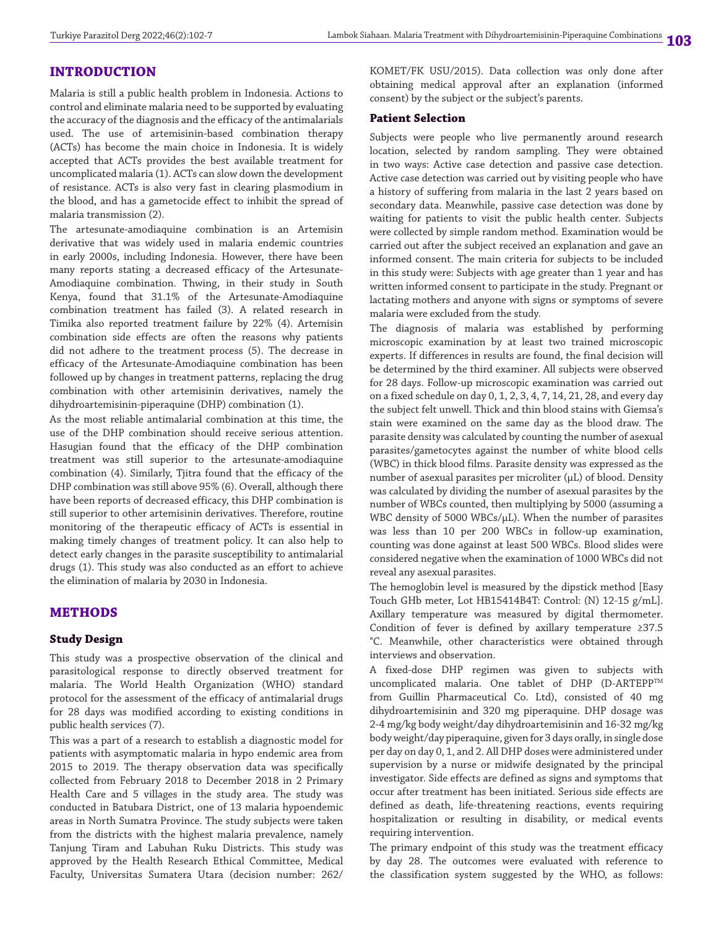## **INTRODUCTION**

Malaria is still a public health problem in Indonesia. Actions to control and eliminate malaria need to be supported by evaluating the accuracy of the diagnosis and the efficacy of the antimalarials used. The use of artemisinin-based combination therapy (ACTs) has become the main choice in Indonesia. It is widely accepted that ACTs provides the best available treatment for uncomplicated malaria (1). ACTs can slow down the development of resistance. ACTs is also very fast in clearing plasmodium in the blood, and has a gametocide effect to inhibit the spread of malaria transmission (2).

The artesunate-amodiaquine combination is an Artemisin derivative that was widely used in malaria endemic countries in early 2000s, including Indonesia. However, there have been many reports stating a decreased efficacy of the Artesunate-Amodiaquine combination. Thwing, in their study in South Kenya, found that 31.1% of the Artesunate-Amodiaquine combination treatment has failed (3). A related research in Timika also reported treatment failure by 22% (4). Artemisin combination side effects are often the reasons why patients did not adhere to the treatment process (5). The decrease in efficacy of the Artesunate-Amodiaquine combination has been followed up by changes in treatment patterns, replacing the drug combination with other artemisinin derivatives, namely the dihydroartemisinin-piperaquine (DHP) combination (1).

As the most reliable antimalarial combination at this time, the use of the DHP combination should receive serious attention. Hasugian found that the efficacy of the DHP combination treatment was still superior to the artesunate-amodiaquine combination (4). Similarly, Tjitra found that the efficacy of the DHP combination was still above 95% (6). Overall, although there have been reports of decreased efficacy, this DHP combination is still superior to other artemisinin derivatives. Therefore, routine monitoring of the therapeutic efficacy of ACTs is essential in making timely changes of treatment policy. It can also help to detect early changes in the parasite susceptibility to antimalarial drugs (1). This study was also conducted as an effort to achieve the elimination of malaria by 2030 in Indonesia.

## **METHODS**

## **Study Design**

This study was a prospective observation of the clinical and parasitological response to directly observed treatment for malaria. The World Health Organization (WHO) standard protocol for the assessment of the efficacy of antimalarial drugs for 28 days was modified according to existing conditions in public health services (7).

This was a part of a research to establish a diagnostic model for patients with asymptomatic malaria in hypo endemic area from 2015 to 2019. The therapy observation data was specifically collected from February 2018 to December 2018 in 2 Primary Health Care and 5 villages in the study area. The study was conducted in Batubara District, one of 13 malaria hypoendemic areas in North Sumatra Province. The study subjects were taken from the districts with the highest malaria prevalence, namely Tanjung Tiram and Labuhan Ruku Districts. This study was approved by the Health Research Ethical Committee, Medical Faculty, Universitas Sumatera Utara (decision number: 262/

KOMET/FK USU/2015). Data collection was only done after obtaining medical approval after an explanation (informed consent) by the subject or the subject's parents.

## **Patient Selection**

Subjects were people who live permanently around research location, selected by random sampling. They were obtained in two ways: Active case detection and passive case detection. Active case detection was carried out by visiting people who have a history of suffering from malaria in the last 2 years based on secondary data. Meanwhile, passive case detection was done by waiting for patients to visit the public health center. Subjects were collected by simple random method. Examination would be carried out after the subject received an explanation and gave an informed consent. The main criteria for subjects to be included in this study were: Subjects with age greater than 1 year and has written informed consent to participate in the study. Pregnant or lactating mothers and anyone with signs or symptoms of severe malaria were excluded from the study.

The diagnosis of malaria was established by performing microscopic examination by at least two trained microscopic experts. If differences in results are found, the final decision will be determined by the third examiner. All subjects were observed for 28 days. Follow-up microscopic examination was carried out on a fixed schedule on day 0, 1, 2, 3, 4, 7, 14, 21, 28, and every day the subject felt unwell. Thick and thin blood stains with Giemsa's stain were examined on the same day as the blood draw. The parasite density was calculated by counting the number of asexual parasites/gametocytes against the number of white blood cells (WBC) in thick blood films. Parasite density was expressed as the number of asexual parasites per microliter (µL) of blood. Density was calculated by dividing the number of asexual parasites by the number of WBCs counted, then multiplying by 5000 (assuming a WBC density of 5000 WBCs/ $\mu$ L). When the number of parasites was less than 10 per 200 WBCs in follow-up examination, counting was done against at least 500 WBCs. Blood slides were considered negative when the examination of 1000 WBCs did not reveal any asexual parasites.

The hemoglobin level is measured by the dipstick method [Easy Touch GHb meter, Lot HB15414B4T: Control: (N) 12-15 g/mL]. Axillary temperature was measured by digital thermometer. Condition of fever is defined by axillary temperature ≥37.5 °C. Meanwhile, other characteristics were obtained through interviews and observation.

A fixed-dose DHP regimen was given to subjects with uncomplicated malaria. One tablet of DHP (D-ARTEPP<sup>TM</sup> from Guillin Pharmaceutical Co. Ltd), consisted of 40 mg dihydroartemisinin and 320 mg piperaquine. DHP dosage was 2-4 mg/kg body weight/day dihydroartemisinin and 16-32 mg/kg body weight/day piperaquine, given for 3 days orally, in single dose per day on day 0, 1, and 2. All DHP doses were administered under supervision by a nurse or midwife designated by the principal investigator. Side effects are defined as signs and symptoms that occur after treatment has been initiated. Serious side effects are defined as death, life-threatening reactions, events requiring hospitalization or resulting in disability, or medical events requiring intervention.

The primary endpoint of this study was the treatment efficacy by day 28. The outcomes were evaluated with reference to the classification system suggested by the WHO, as follows: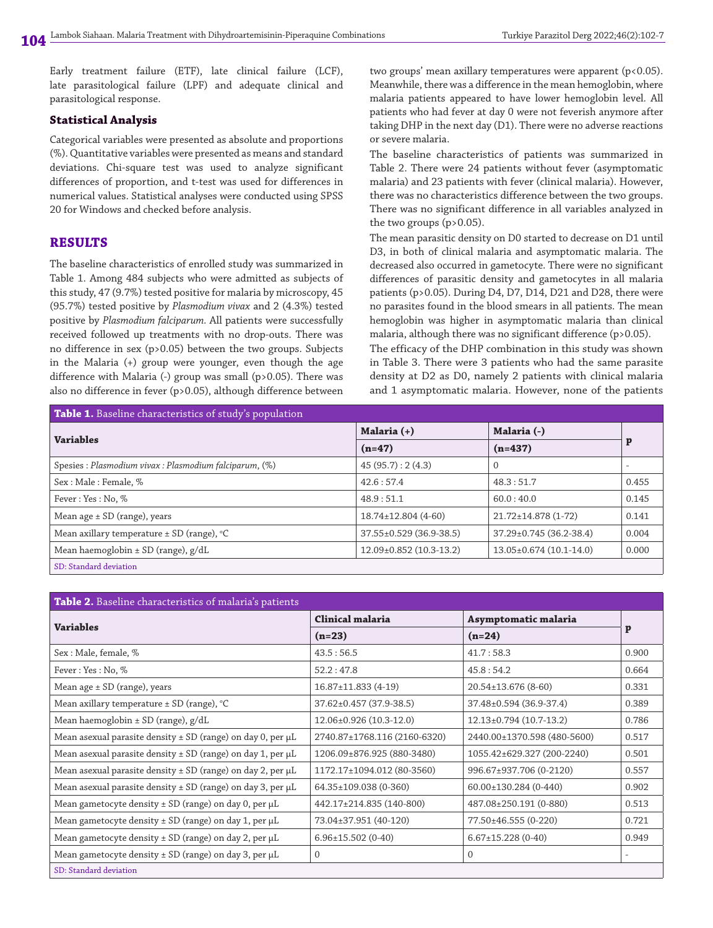Early treatment failure (ETF), late clinical failure (LCF), late parasitological failure (LPF) and adequate clinical and parasitological response.

#### **Statistical Analysis**

Categorical variables were presented as absolute and proportions (%). Quantitative variables were presented as means and standard deviations. Chi-square test was used to analyze significant differences of proportion, and t-test was used for differences in numerical values. Statistical analyses were conducted using SPSS 20 for Windows and checked before analysis.

## **RESULTS**

The baseline characteristics of enrolled study was summarized in Table 1. Among 484 subjects who were admitted as subjects of this study, 47 (9.7%) tested positive for malaria by microscopy, 45 (95.7%) tested positive by *Plasmodium vivax* and 2 (4.3%) tested positive by *Plasmodium falciparum.* All patients were successfully received followed up treatments with no drop-outs. There was no difference in sex (p>0.05) between the two groups. Subjects in the Malaria (+) group were younger, even though the age difference with Malaria (-) group was small (p>0.05). There was also no difference in fever (p>0.05), although difference between two groups' mean axillary temperatures were apparent (p<0.05). Meanwhile, there was a difference in the mean hemoglobin, where malaria patients appeared to have lower hemoglobin level. All patients who had fever at day 0 were not feverish anymore after taking DHP in the next day (D1). There were no adverse reactions or severe malaria.

The baseline characteristics of patients was summarized in Table 2. There were 24 patients without fever (asymptomatic malaria) and 23 patients with fever (clinical malaria). However, there was no characteristics difference between the two groups. There was no significant difference in all variables analyzed in the two groups (p>0.05).

The mean parasitic density on D0 started to decrease on D1 until D3, in both of clinical malaria and asymptomatic malaria. The decreased also occurred in gametocyte. There were no significant differences of parasitic density and gametocytes in all malaria patients (p>0.05). During D4, D7, D14, D21 and D28, there were no parasites found in the blood smears in all patients. The mean hemoglobin was higher in asymptomatic malaria than clinical malaria, although there was no significant difference (p>0.05).

The efficacy of the DHP combination in this study was shown in Table 3. There were 3 patients who had the same parasite density at D2 as D0, namely 2 patients with clinical malaria and 1 asymptomatic malaria. However, none of the patients

| Table 1. Baseline characteristics of study's population |                         |                         |       |  |  |  |
|---------------------------------------------------------|-------------------------|-------------------------|-------|--|--|--|
| <b>Variables</b>                                        | Malaria (+)             | Malaria (-)             | p     |  |  |  |
|                                                         | $(n=47)$                | $(n=437)$               |       |  |  |  |
| Spesies : Plasmodium vivax : Plasmodium falciparum, (%) | 45(95.7):2(4.3)         | $\overline{0}$          |       |  |  |  |
| Sex: Male: Female, %                                    | 42.6:57.4               | 48.3:51.7               | 0.455 |  |  |  |
| Fever: Yes: No. %                                       | 48.9:51.1               | 60.0:40.0               | 0.145 |  |  |  |
| Mean age $\pm$ SD (range), years                        | 18.74±12.804 (4-60)     | 21.72±14.878 (1-72)     | 0.141 |  |  |  |
| Mean axillary temperature $\pm$ SD (range), $\degree$ C | 37.55±0.529 (36.9-38.5) | 37.29±0.745 (36.2-38.4) | 0.004 |  |  |  |
| Mean haemoglobin $\pm$ SD (range), $g/dL$               | 12.09±0.852 (10.3-13.2) | 13.05±0.674 (10.1-14.0) | 0.000 |  |  |  |
| SD: Standard deviation                                  |                         |                         |       |  |  |  |

| <b>Table 2.</b> Baseline characteristics of malaria's patients       |                              |                             |       |  |  |  |
|----------------------------------------------------------------------|------------------------------|-----------------------------|-------|--|--|--|
| <b>Variables</b>                                                     | Clinical malaria             | Asymptomatic malaria        |       |  |  |  |
|                                                                      | $(n=23)$                     | $(n=24)$                    | P     |  |  |  |
| Sex : Male, female, %                                                | 43.5:56.5                    | 41.7:58.3                   | 0.900 |  |  |  |
| Fever: Yes: No, %                                                    | 52.2:47.8                    | 45.8:54.2                   | 0.664 |  |  |  |
| Mean age ± SD (range), years                                         | $16.87 \pm 11.833(4-19)$     | 20.54±13.676 (8-60)         | 0.331 |  |  |  |
| Mean axillary temperature $\pm$ SD (range), $\degree$ C              | 37.62±0.457 (37.9-38.5)      | 37.48±0.594 (36.9-37.4)     | 0.389 |  |  |  |
| Mean haemoglobin $\pm$ SD (range), $g/dL$                            | 12.06±0.926 (10.3-12.0)      | 12.13±0.794 (10.7-13.2)     | 0.786 |  |  |  |
| Mean asexual parasite density $\pm$ SD (range) on day 0, per $\mu$ L | 2740.87±1768.116 (2160-6320) | 2440.00±1370.598 (480-5600) | 0.517 |  |  |  |
| Mean asexual parasite density $\pm$ SD (range) on day 1, per $\mu$ L | 1206.09±876.925 (880-3480)   | 1055.42±629.327 (200-2240)  | 0.501 |  |  |  |
| Mean asexual parasite density $\pm$ SD (range) on day 2, per $\mu$ L | 1172.17±1094.012 (80-3560)   | 996.67±937.706 (0-2120)     | 0.557 |  |  |  |
| Mean asexual parasite density $\pm$ SD (range) on day 3, per $\mu$ L | 64.35±109.038 (0-360)        | 60.00±130.284 (0-440)       | 0.902 |  |  |  |
| Mean gametocyte density $\pm$ SD (range) on day 0, per $\mu$ L       | 442.17±214.835 (140-800)     | 487.08±250.191 (0-880)      | 0.513 |  |  |  |
| Mean gametocyte density ± SD (range) on day 1, per µL                | 73.04±37.951 (40-120)        | 77.50±46.555 (0-220)        | 0.721 |  |  |  |
| Mean gametocyte density ± SD (range) on day 2, per µL                | $6.96 \pm 15.502$ (0-40)     | $6.67 \pm 15.228(0-40)$     | 0.949 |  |  |  |
| Mean gametocyte density ± SD (range) on day 3, per µL                | $\Omega$                     | $\Omega$                    |       |  |  |  |
| SD: Standard deviation                                               |                              |                             |       |  |  |  |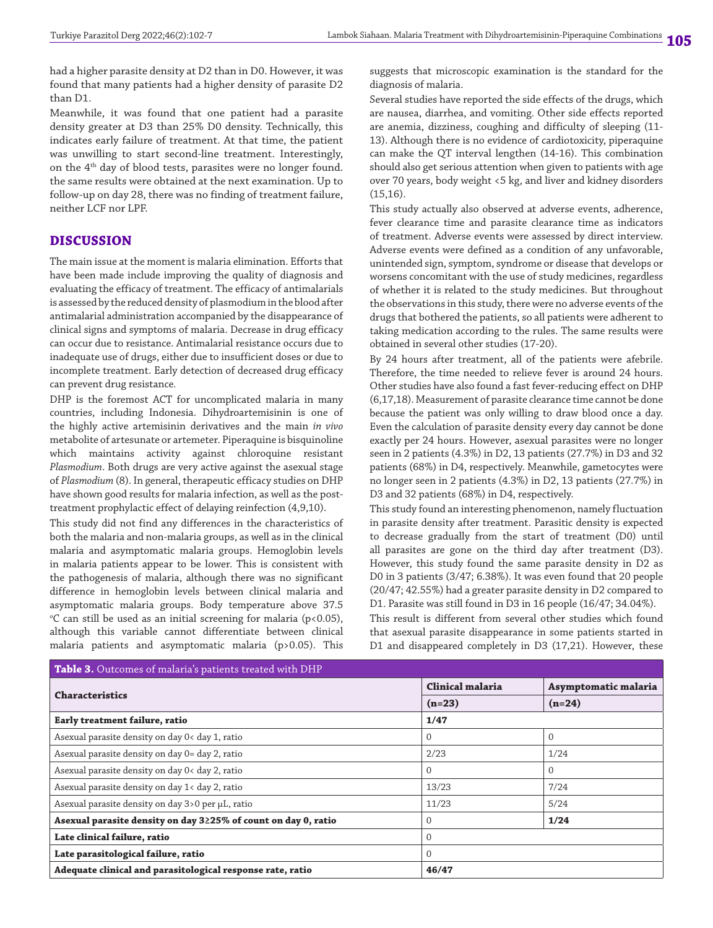had a higher parasite density at D2 than in D0. However, it was found that many patients had a higher density of parasite D2 than D1.

Meanwhile, it was found that one patient had a parasite density greater at D3 than 25% D0 density. Technically, this indicates early failure of treatment. At that time, the patient was unwilling to start second-line treatment. Interestingly, on the  $4<sup>th</sup>$  day of blood tests, parasites were no longer found. the same results were obtained at the next examination. Up to follow-up on day 28, there was no finding of treatment failure, neither LCF nor LPF.

## **DISCUSSION**

The main issue at the moment is malaria elimination. Efforts that have been made include improving the quality of diagnosis and evaluating the efficacy of treatment. The efficacy of antimalarials is assessed by the reduced density of plasmodium in the blood after antimalarial administration accompanied by the disappearance of clinical signs and symptoms of malaria. Decrease in drug efficacy can occur due to resistance. Antimalarial resistance occurs due to inadequate use of drugs, either due to insufficient doses or due to incomplete treatment. Early detection of decreased drug efficacy can prevent drug resistance*.*

DHP is the foremost ACT for uncomplicated malaria in many countries, including Indonesia. Dihydroartemisinin is one of the highly active artemisinin derivatives and the main *in vivo* metabolite of artesunate or artemeter. Piperaquine is bisquinoline which maintains activity against chloroquine resistant *Plasmodium*. Both drugs are very active against the asexual stage of *Plasmodium* (8). In general, therapeutic efficacy studies on DHP have shown good results for malaria infection, as well as the posttreatment prophylactic effect of delaying reinfection (4,9,10).

This study did not find any differences in the characteristics of both the malaria and non-malaria groups, as well as in the clinical malaria and asymptomatic malaria groups. Hemoglobin levels in malaria patients appear to be lower. This is consistent with the pathogenesis of malaria, although there was no significant difference in hemoglobin levels between clinical malaria and asymptomatic malaria groups. Body temperature above 37.5  $\degree$ C can still be used as an initial screening for malaria (p<0.05), although this variable cannot differentiate between clinical malaria patients and asymptomatic malaria (p>0.05). This

suggests that microscopic examination is the standard for the diagnosis of malaria.

Several studies have reported the side effects of the drugs, which are nausea, diarrhea, and vomiting. Other side effects reported are anemia, dizziness, coughing and difficulty of sleeping (11- 13). Although there is no evidence of cardiotoxicity, piperaquine can make the QT interval lengthen (14-16). This combination should also get serious attention when given to patients with age over 70 years, body weight <5 kg, and liver and kidney disorders (15,16).

This study actually also observed at adverse events, adherence, fever clearance time and parasite clearance time as indicators of treatment. Adverse events were assessed by direct interview. Adverse events were defined as a condition of any unfavorable, unintended sign, symptom, syndrome or disease that develops or worsens concomitant with the use of study medicines, regardless of whether it is related to the study medicines. But throughout the observations in this study, there were no adverse events of the drugs that bothered the patients, so all patients were adherent to taking medication according to the rules. The same results were obtained in several other studies (17-20).

By 24 hours after treatment, all of the patients were afebrile. Therefore, the time needed to relieve fever is around 24 hours. Other studies have also found a fast fever-reducing effect on DHP (6,17,18). Measurement of parasite clearance time cannot be done because the patient was only willing to draw blood once a day. Even the calculation of parasite density every day cannot be done exactly per 24 hours. However, asexual parasites were no longer seen in 2 patients (4.3%) in D2, 13 patients (27.7%) in D3 and 32 patients (68%) in D4, respectively. Meanwhile, gametocytes were no longer seen in 2 patients (4.3%) in D2, 13 patients (27.7%) in D3 and 32 patients (68%) in D4, respectively.

This study found an interesting phenomenon, namely fluctuation in parasite density after treatment. Parasitic density is expected to decrease gradually from the start of treatment (D0) until all parasites are gone on the third day after treatment (D3). However, this study found the same parasite density in D2 as D0 in 3 patients (3/47; 6.38%). It was even found that 20 people (20/47; 42.55%) had a greater parasite density in D2 compared to D1. Parasite was still found in D3 in 16 people (16/47; 34.04%).

This result is different from several other studies which found that asexual parasite disappearance in some patients started in D1 and disappeared completely in D3 (17,21). However, these

| Table 3. Outcomes of malaria's patients treated with DHP       |                  |                      |  |  |  |
|----------------------------------------------------------------|------------------|----------------------|--|--|--|
|                                                                | Clinical malaria | Asymptomatic malaria |  |  |  |
| <b>Characteristics</b>                                         | $(n=23)$         | $(n=24)$             |  |  |  |
| <b>Early treatment failure, ratio</b>                          | 1/47             |                      |  |  |  |
| Asexual parasite density on day 0< day 1, ratio                | $\mathbf{0}$     | $\Omega$             |  |  |  |
| Asexual parasite density on day 0= day 2, ratio                | 2/23             | 1/24                 |  |  |  |
| Asexual parasite density on day 0< day 2, ratio                | $\Omega$         | $\Omega$             |  |  |  |
| Asexual parasite density on day 1< day 2, ratio                | 13/23            | 7/24                 |  |  |  |
| Asexual parasite density on day 3>0 per µL, ratio              | 11/23            | 5/24                 |  |  |  |
| Asexual parasite density on day 3≥25% of count on day 0, ratio | $\mathbf{0}$     | 1/24                 |  |  |  |
| Late clinical failure, ratio                                   | $\Omega$         |                      |  |  |  |
| Late parasitological failure, ratio                            | $\Omega$         |                      |  |  |  |
| Adequate clinical and parasitological response rate, ratio     | 46/47            |                      |  |  |  |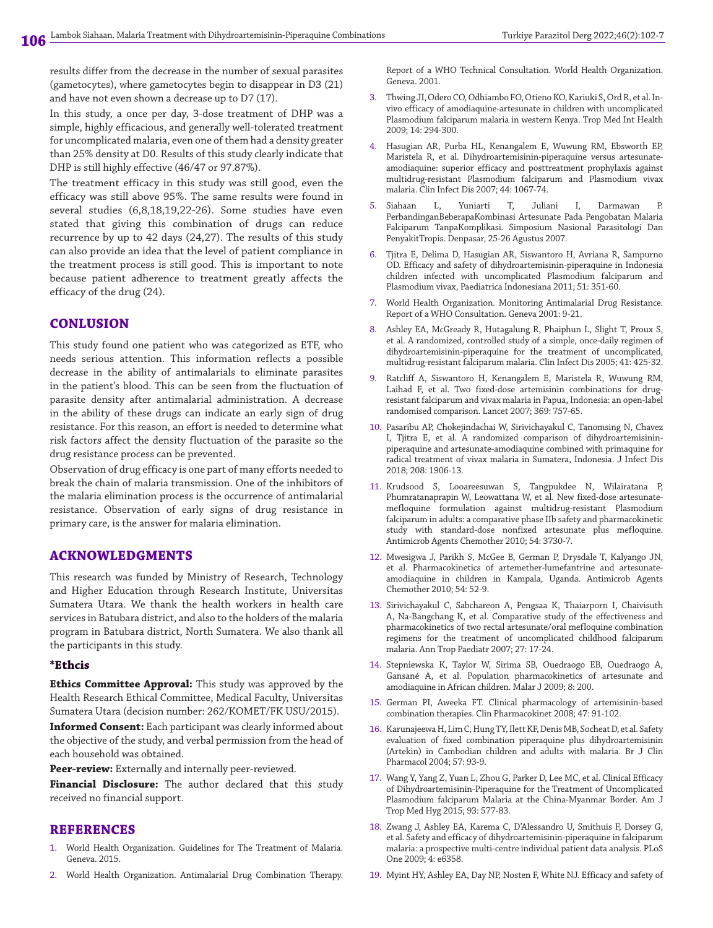results differ from the decrease in the number of sexual parasites (gametocytes), where gametocytes begin to disappear in D3 (21) and have not even shown a decrease up to D7 (17).

In this study, a once per day, 3-dose treatment of DHP was a simple, highly efficacious, and generally well-tolerated treatment for uncomplicated malaria, even one of them had a density greater than 25% density at D0. Results of this study clearly indicate that DHP is still highly effective (46/47 or 97.87%).

The treatment efficacy in this study was still good, even the efficacy was still above 95%. The same results were found in several studies (6,8,18,19,22-26). Some studies have even stated that giving this combination of drugs can reduce recurrence by up to 42 days (24,27). The results of this study can also provide an idea that the level of patient compliance in the treatment process is still good. This is important to note because patient adherence to treatment greatly affects the efficacy of the drug (24).

### **CONLUSION**

This study found one patient who was categorized as ETF, who needs serious attention. This information reflects a possible decrease in the ability of antimalarials to eliminate parasites in the patient's blood. This can be seen from the fluctuation of parasite density after antimalarial administration. A decrease in the ability of these drugs can indicate an early sign of drug resistance. For this reason, an effort is needed to determine what risk factors affect the density fluctuation of the parasite so the drug resistance process can be prevented.

Observation of drug efficacy is one part of many efforts needed to break the chain of malaria transmission. One of the inhibitors of the malaria elimination process is the occurrence of antimalarial resistance. Observation of early signs of drug resistance in primary care, is the answer for malaria elimination.

#### **ACKNOWLEDGMENTS**

This research was funded by Ministry of Research, Technology and Higher Education through Research Institute, Universitas Sumatera Utara. We thank the health workers in health care services in Batubara district, and also to the holders of the malaria program in Batubara district, North Sumatera. We also thank all the participants in this study.

#### **\*Ethcis**

**Ethics Committee Approval:** This study was approved by the Health Research Ethical Committee, Medical Faculty, Universitas Sumatera Utara (decision number: 262/KOMET/FK USU/2015).

**Informed Consent:** Each participant was clearly informed about the objective of the study, and verbal permission from the head of each household was obtained.

**Peer-review:** Externally and internally peer-reviewed.

**Financial Disclosure:** The author declared that this study received no financial support.

#### **REFERENCES**

- 1. World Health Organization. Guidelines for The Treatment of Malaria. Geneva. 2015.
- 2. World Health Organization. Antimalarial Drug Combination Therapy.

Report of a WHO Technical Consultation. World Health Organization. Geneva. 2001.

- 3. Thwing JI, Odero CO, Odhiambo FO, Otieno KO, Kariuki S, Ord R, et al. Invivo efficacy of amodiaquine-artesunate in children with uncomplicated Plasmodium falciparum malaria in western Kenya. Trop Med Int Health 2009; 14: 294-300.
- 4. Hasugian AR, Purba HL, Kenangalem E, Wuwung RM, Ebsworth EP, Maristela R, et al. Dihydroartemisinin-piperaquine versus artesunateamodiaquine: superior efficacy and posttreatment prophylaxis against multidrug-resistant Plasmodium falciparum and Plasmodium vivax malaria. Clin Infect Dis 2007; 44: 1067-74.
- 5. Siahaan L, Yuniarti T, Juliani I, Darmawan P. PerbandinganBeberapaKombinasi Artesunate Pada Pengobatan Malaria Falciparum TanpaKomplikasi. Simposium Nasional Parasitologi Dan PenyakitTropis. Denpasar, 25-26 Agustus 2007.
- 6. Tjitra E, Delima D, Hasugian AR, Siswantoro H, Avriana R, Sampurno OD. Efficacy and safety of dihydroartemisinin-piperaquine in Indonesia children infected with uncomplicated Plasmodium falciparum and Plasmodium vivax, Paediatrica Indonesiana 2011; 51: 351-60.
- 7. World Health Organization. Monitoring Antimalarial Drug Resistance. Report of a WHO Consultation. Geneva 2001: 9-21.
- 8. Ashley EA, McGready R, Hutagalung R, Phaiphun L, Slight T, Proux S, et al. A randomized, controlled study of a simple, once-daily regimen of dihydroartemisinin-piperaquine for the treatment of uncomplicated, multidrug-resistant falciparum malaria. Clin Infect Dis 2005; 41: 425-32.
- 9. Ratcliff A, Siswantoro H, Kenangalem E, Maristela R, Wuwung RM, Laihad F, et al. Two fixed-dose artemisinin combinations for drugresistant falciparum and vivax malaria in Papua, Indonesia: an open-label randomised comparison. Lancet 2007; 369: 757-65.
- 10. Pasaribu AP, Chokejindachai W, Sirivichayakul C, Tanomsing N, Chavez I, Tjitra E, et al. A randomized comparison of dihydroartemisininpiperaquine and artesunate-amodiaquine combined with primaquine for radical treatment of vivax malaria in Sumatera, Indonesia. J Infect Dis 2018; 208: 1906-13.
- 11. Krudsood S, Looareesuwan S, Tangpukdee N, Wilairatana P, Phumratanaprapin W, Leowattana W, et al. New fixed-dose artesunatemefloquine formulation against multidrug-resistant Plasmodium falciparum in adults: a comparative phase IIb safety and pharmacokinetic study with standard-dose nonfixed artesunate plus mefloquine. Antimicrob Agents Chemother 2010; 54: 3730-7.
- 12. Mwesigwa J, Parikh S, McGee B, German P, Drysdale T, Kalyango JN, et al. Pharmacokinetics of artemether-lumefantrine and artesunateamodiaquine in children in Kampala, Uganda. Antimicrob Agents Chemother 2010; 54: 52-9.
- 13. Sirivichayakul C, Sabchareon A, Pengsaa K, Thaiarporn I, Chaivisuth A, Na-Bangchang K, et al. Comparative study of the effectiveness and pharmacokinetics of two rectal artesunate/oral mefloquine combination regimens for the treatment of uncomplicated childhood falciparum malaria. Ann Trop Paediatr 2007; 27: 17-24.
- 14. Stepniewska K, Taylor W, Sirima SB, Ouedraogo EB, Ouedraogo A, Gansané A, et al. Population pharmacokinetics of artesunate and amodiaquine in African children. Malar J 2009; 8: 200.
- 15. German PI, Aweeka FT. Clinical pharmacology of artemisinin-based combination therapies. Clin Pharmacokinet 2008; 47: 91-102.
- 16. Karunajeewa H, Lim C, Hung TY, Ilett KF, Denis MB, Socheat D, et al. Safety evaluation of fixed combination piperaquine plus dihydroartemisinin (Artekin) in Cambodian children and adults with malaria. Br J Clin Pharmacol 2004; 57: 93-9.
- 17. Wang Y, Yang Z, Yuan L, Zhou G, Parker D, Lee MC, et al. Clinical Efficacy of Dihydroartemisinin-Piperaquine for the Treatment of Uncomplicated Plasmodium falciparum Malaria at the China-Myanmar Border. Am J Trop Med Hyg 2015; 93: 577-83.
- 18. Zwang J, Ashley EA, Karema C, D'Alessandro U, Smithuis F, Dorsey G, et al. Safety and efficacy of dihydroartemisinin-piperaquine in falciparum malaria: a prospective multi-centre individual patient data analysis. PLoS One 2009; 4: e6358.
- 19. Myint HY, Ashley EA, Day NP, Nosten F, White NJ. Efficacy and safety of